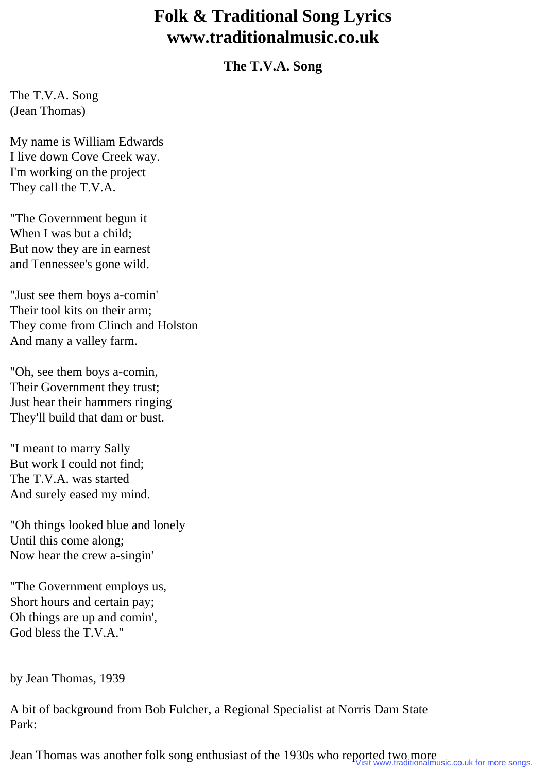## **Folk & Traditional Song Lyrics www.traditionalmusic.co.uk**

## **The T.V.A. Song**

The T.V.A. Song (Jean Thomas)

My name is William Edwards I live down Cove Creek way. I'm working on the project They call the T.V.A.

"The Government begun it When I was but a child; But now they are in earnest and Tennessee's gone wild.

"Just see them boys a-comin' Their tool kits on their arm; They come from Clinch and Holston And many a valley farm.

"Oh, see them boys a-comin, Their Government they trust; Just hear their hammers ringing They'll build that dam or bust.

"I meant to marry Sally But work I could not find; The T.V.A. was started And surely eased my mind.

"Oh things looked blue and lonely Until this come along; Now hear the crew a-singin'

"The Government employs us, Short hours and certain pay; Oh things are up and comin', God bless the T.V.A."

by Jean Thomas, 1939

A bit of background from Bob Fulcher, a Regional Specialist at Norris Dam State Park:

Jean Thomas was another folk song enthusiast of the 1930s who reported two more reported two more songs.